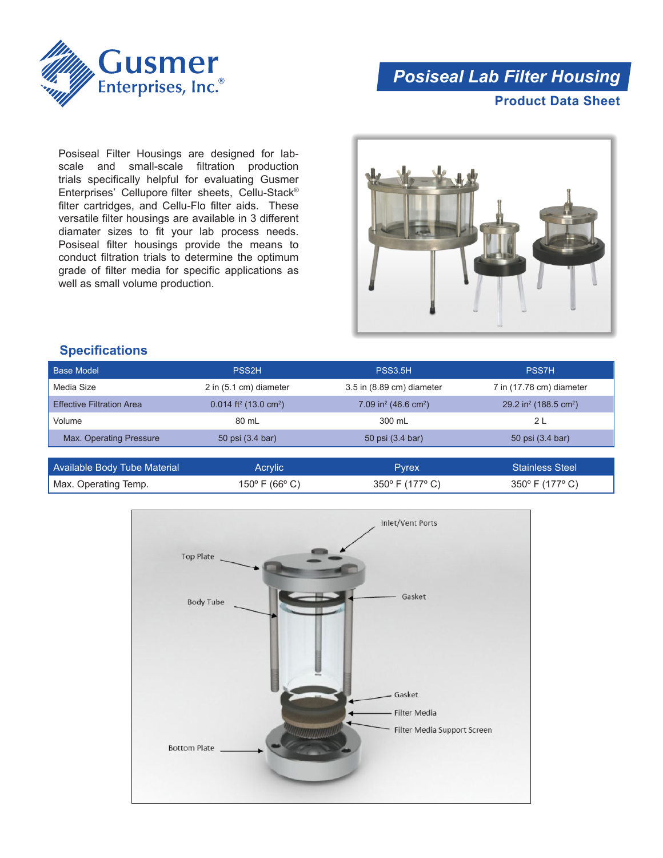

## *Posiseal Lab Filter Housing*

**Product Data Sheet**

Posiseal Filter Housings are designed for labscale and small-scale filtration production trials specifically helpful for evaluating Gusmer Enterprises' Cellupore filter sheets, Cellu‑Stack® filter cartridges, and Cellu-Flo filter aids. These versatile filter housings are available in 3 different diamater sizes to fit your lab process needs. Posiseal filter housings provide the means to conduct filtration trials to determine the optimum grade of filter media for specific applications as well as small volume production.



## **Specifications**

| Base Model                       | <b>PSS2H</b>                                    | <b>PSS3.5H</b>                               | <b>PSS7H</b>                                  |
|----------------------------------|-------------------------------------------------|----------------------------------------------|-----------------------------------------------|
| Media Size                       | 2 in (5.1 cm) diameter                          | 3.5 in (8.89 cm) diameter                    | 7 in (17.78 cm) diameter                      |
| <b>Effective Filtration Area</b> | $0.014$ ft <sup>2</sup> (13.0 cm <sup>2</sup> ) | 7.09 in <sup>2</sup> (46.6 cm <sup>2</sup> ) | 29.2 in <sup>2</sup> (188.5 cm <sup>2</sup> ) |
| Volume                           | 80 mL                                           | 300 mL                                       | 2 L                                           |
| Max. Operating Pressure          | 50 psi (3.4 bar)                                | 50 psi (3.4 bar)                             | 50 psi (3.4 bar)                              |

| Available Body Tube Material | Acrvlic        | Pvrex                              | <b>Stainless Steel</b>             |
|------------------------------|----------------|------------------------------------|------------------------------------|
| Max. Operating Temp.         | 150° F (66° C) | $350^{\circ}$ F (177 $^{\circ}$ C) | $350^{\circ}$ F (177 $^{\circ}$ C) |